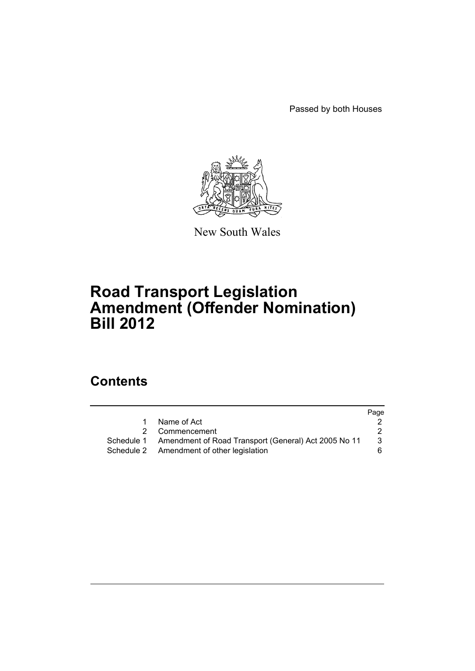Passed by both Houses



New South Wales

# **Road Transport Legislation Amendment (Offender Nomination) Bill 2012**

# **Contents**

|   |                                                                 | Page |
|---|-----------------------------------------------------------------|------|
| 1 | Name of Act                                                     |      |
|   | 2 Commencement                                                  |      |
|   | Schedule 1 Amendment of Road Transport (General) Act 2005 No 11 | 3    |
|   | Schedule 2 Amendment of other legislation                       | 6.   |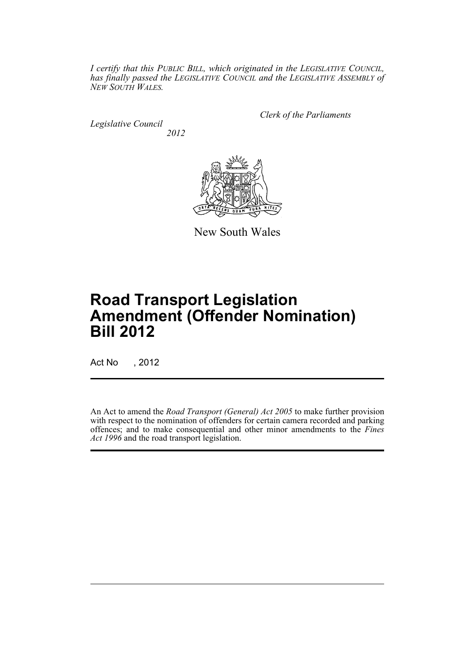*I certify that this PUBLIC BILL, which originated in the LEGISLATIVE COUNCIL, has finally passed the LEGISLATIVE COUNCIL and the LEGISLATIVE ASSEMBLY of NEW SOUTH WALES.*

*Legislative Council 2012* *Clerk of the Parliaments*



New South Wales

# **Road Transport Legislation Amendment (Offender Nomination) Bill 2012**

Act No , 2012

An Act to amend the *Road Transport (General) Act 2005* to make further provision with respect to the nomination of offenders for certain camera recorded and parking offences; and to make consequential and other minor amendments to the *Fines Act 1996* and the road transport legislation.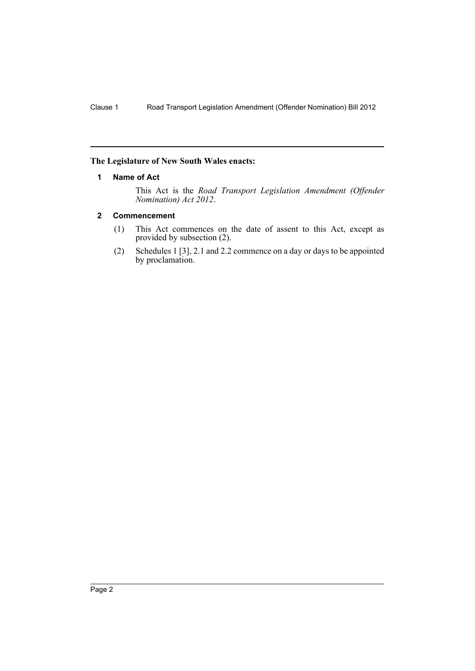### <span id="page-3-0"></span>**The Legislature of New South Wales enacts:**

### **1 Name of Act**

This Act is the *Road Transport Legislation Amendment (Offender Nomination) Act 2012*.

### <span id="page-3-1"></span>**2 Commencement**

- (1) This Act commences on the date of assent to this Act, except as provided by subsection (2).
- (2) Schedules 1 [3], 2.1 and 2.2 commence on a day or days to be appointed by proclamation.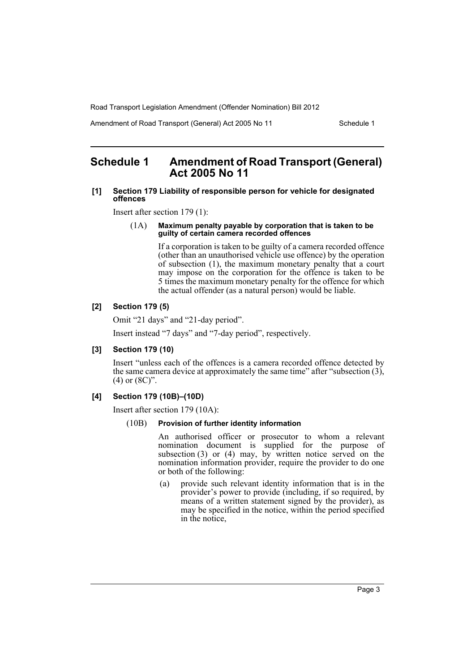Amendment of Road Transport (General) Act 2005 No 11 Schedule 1

# <span id="page-4-0"></span>**Schedule 1 Amendment of Road Transport (General) Act 2005 No 11**

### **[1] Section 179 Liability of responsible person for vehicle for designated offences**

Insert after section 179 (1):

#### (1A) **Maximum penalty payable by corporation that is taken to be guilty of certain camera recorded offences**

If a corporation is taken to be guilty of a camera recorded offence (other than an unauthorised vehicle use offence) by the operation of subsection (1), the maximum monetary penalty that a court may impose on the corporation for the offence is taken to be 5 times the maximum monetary penalty for the offence for which the actual offender (as a natural person) would be liable.

# **[2] Section 179 (5)**

Omit "21 days" and "21-day period".

Insert instead "7 days" and "7-day period", respectively.

### **[3] Section 179 (10)**

Insert "unless each of the offences is a camera recorded offence detected by the same camera device at approximately the same time" after "subsection (3), (4) or (8C)".

## **[4] Section 179 (10B)–(10D)**

Insert after section 179 (10A):

### (10B) **Provision of further identity information**

An authorised officer or prosecutor to whom a relevant nomination document is supplied for the purpose of subsection  $(3)$  or  $(4)$  may, by written notice served on the nomination information provider, require the provider to do one or both of the following:

(a) provide such relevant identity information that is in the provider's power to provide (including, if so required, by means of a written statement signed by the provider), as may be specified in the notice, within the period specified in the notice,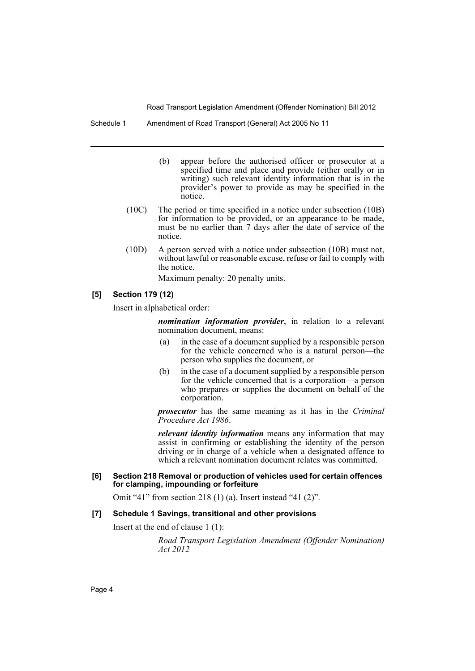Schedule 1 Amendment of Road Transport (General) Act 2005 No 11

- (b) appear before the authorised officer or prosecutor at a specified time and place and provide (either orally or in writing) such relevant identity information that is in the provider's power to provide as may be specified in the notice.
- (10C) The period or time specified in a notice under subsection (10B) for information to be provided, or an appearance to be made, must be no earlier than 7 days after the date of service of the notice.
- (10D) A person served with a notice under subsection (10B) must not, without lawful or reasonable excuse, refuse or fail to comply with the notice.

Maximum penalty: 20 penalty units.

### **[5] Section 179 (12)**

Insert in alphabetical order:

*nomination information provider*, in relation to a relevant nomination document, means:

- (a) in the case of a document supplied by a responsible person for the vehicle concerned who is a natural person—the person who supplies the document, or
- (b) in the case of a document supplied by a responsible person for the vehicle concerned that is a corporation—a person who prepares or supplies the document on behalf of the corporation.

*prosecutor* has the same meaning as it has in the *Criminal Procedure Act 1986*.

*relevant identity information* means any information that may assist in confirming or establishing the identity of the person driving or in charge of a vehicle when a designated offence to which a relevant nomination document relates was committed.

#### **[6] Section 218 Removal or production of vehicles used for certain offences for clamping, impounding or forfeiture**

Omit "41" from section 218 (1) (a). Insert instead "41 (2)".

#### **[7] Schedule 1 Savings, transitional and other provisions**

Insert at the end of clause 1 (1):

*Road Transport Legislation Amendment (Offender Nomination) Act 2012*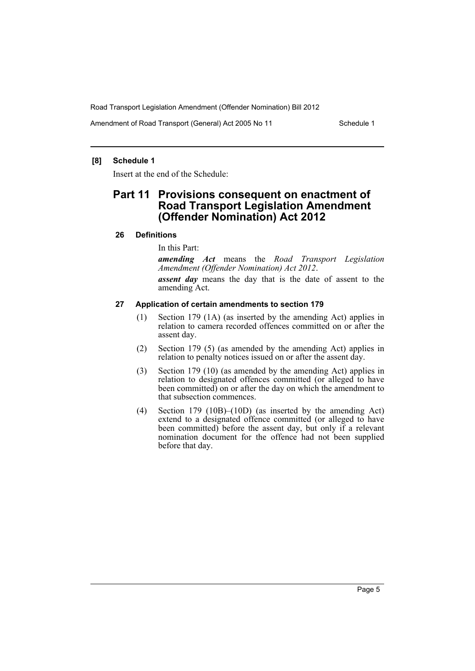Amendment of Road Transport (General) Act 2005 No 11 Schedule 1

### **[8] Schedule 1**

Insert at the end of the Schedule:

# **Part 11 Provisions consequent on enactment of Road Transport Legislation Amendment (Offender Nomination) Act 2012**

### **26 Definitions**

In this Part:

*amending Act* means the *Road Transport Legislation Amendment (Offender Nomination) Act 2012*.

*assent day* means the day that is the date of assent to the amending Act.

### **27 Application of certain amendments to section 179**

- (1) Section 179 (1A) (as inserted by the amending Act) applies in relation to camera recorded offences committed on or after the assent day.
- (2) Section 179 (5) (as amended by the amending Act) applies in relation to penalty notices issued on or after the assent day.
- (3) Section 179 (10) (as amended by the amending Act) applies in relation to designated offences committed (or alleged to have been committed) on or after the day on which the amendment to that subsection commences.
- (4) Section 179 (10B)–(10D) (as inserted by the amending Act) extend to a designated offence committed (or alleged to have been committed) before the assent day, but only if a relevant nomination document for the offence had not been supplied before that day.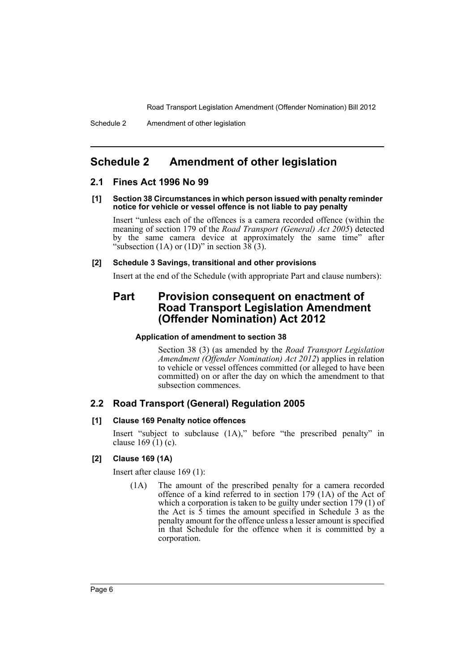# <span id="page-7-0"></span>**Schedule 2 Amendment of other legislation**

### **2.1 Fines Act 1996 No 99**

#### **[1] Section 38 Circumstances in which person issued with penalty reminder notice for vehicle or vessel offence is not liable to pay penalty**

Insert "unless each of the offences is a camera recorded offence (within the meaning of section 179 of the *Road Transport (General) Act 2005*) detected by the same camera device at approximately the same time" after "subsection (1A) or (1D)" in section  $3\overline{8}(3)$ .

### **[2] Schedule 3 Savings, transitional and other provisions**

Insert at the end of the Schedule (with appropriate Part and clause numbers):

# **Part Provision consequent on enactment of Road Transport Legislation Amendment (Offender Nomination) Act 2012**

### **Application of amendment to section 38**

Section 38 (3) (as amended by the *Road Transport Legislation Amendment (Offender Nomination) Act 2012*) applies in relation to vehicle or vessel offences committed (or alleged to have been committed) on or after the day on which the amendment to that subsection commences.

## **2.2 Road Transport (General) Regulation 2005**

### **[1] Clause 169 Penalty notice offences**

Insert "subject to subclause (1A)," before "the prescribed penalty" in clause  $169(1)(c)$ .

### **[2] Clause 169 (1A)**

Insert after clause 169 (1):

(1A) The amount of the prescribed penalty for a camera recorded offence of a kind referred to in section 179 (1A) of the Act of which a corporation is taken to be guilty under section 179 (1) of the Act is  $\overline{5}$  times the amount specified in Schedule 3 as the penalty amount for the offence unless a lesser amount is specified in that Schedule for the offence when it is committed by a corporation.